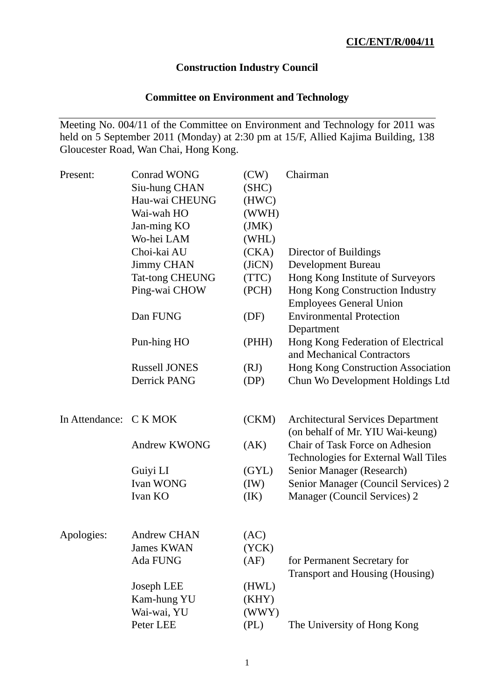# **Construction Industry Council**

# **Committee on Environment and Technology**

Meeting No. 004/11 of the Committee on Environment and Technology for 2011 was held on 5 September 2011 (Monday) at 2:30 pm at 15/F, Allied Kajima Building, 138 Gloucester Road, Wan Chai, Hong Kong.

| Present:               | <b>Conrad WONG</b>                       | (CW)                    | Chairman                                                                       |
|------------------------|------------------------------------------|-------------------------|--------------------------------------------------------------------------------|
|                        | Siu-hung CHAN                            | (SHC)                   |                                                                                |
|                        | Hau-wai CHEUNG                           | (HWC)                   |                                                                                |
|                        | Wai-wah HO                               | (WWH)                   |                                                                                |
|                        | Jan-ming KO                              | (JMK)                   |                                                                                |
|                        | Wo-hei LAM                               | (WHL)                   |                                                                                |
|                        | Choi-kai AU                              | (CKA)                   | Director of Buildings                                                          |
|                        | <b>Jimmy CHAN</b>                        | (IiCN)                  | <b>Development Bureau</b>                                                      |
|                        | <b>Tat-tong CHEUNG</b>                   | (TTC)                   | Hong Kong Institute of Surveyors                                               |
|                        | Ping-wai CHOW                            | (PCH)                   | Hong Kong Construction Industry<br><b>Employees General Union</b>              |
|                        | Dan FUNG                                 | (DF)                    | <b>Environmental Protection</b><br>Department                                  |
|                        | Pun-hing HO                              | (PHH)                   | Hong Kong Federation of Electrical<br>and Mechanical Contractors               |
|                        | <b>Russell JONES</b>                     | (RJ)                    | Hong Kong Construction Association                                             |
|                        | Derrick PANG                             | (DP)                    | Chun Wo Development Holdings Ltd                                               |
| In Attendance: C K MOK |                                          | (CKM)                   | <b>Architectural Services Department</b><br>(on behalf of Mr. YIU Wai-keung)   |
|                        | <b>Andrew KWONG</b>                      | (AK)                    | <b>Chair of Task Force on Adhesion</b><br>Technologies for External Wall Tiles |
|                        | Guiyi LI                                 | (GYL)                   | Senior Manager (Research)                                                      |
|                        | <b>Ivan WONG</b>                         | (IW)                    | Senior Manager (Council Services) 2                                            |
|                        | Ivan KO                                  | (IK)                    | Manager (Council Services) 2                                                   |
| Apologies:             | <b>Andrew CHAN</b>                       | (AC)                    |                                                                                |
|                        | <b>James KWAN</b>                        | (YCK)                   |                                                                                |
|                        | Ada FUNG                                 | (AF)                    | for Permanent Secretary for<br><b>Transport and Housing (Housing)</b>          |
|                        | Joseph LEE<br>Kam-hung YU<br>Wai-wai, YU | (HWL)<br>(KHY)<br>(WWY) |                                                                                |
|                        | Peter LEE                                | (PL)                    | The University of Hong Kong                                                    |
|                        |                                          |                         |                                                                                |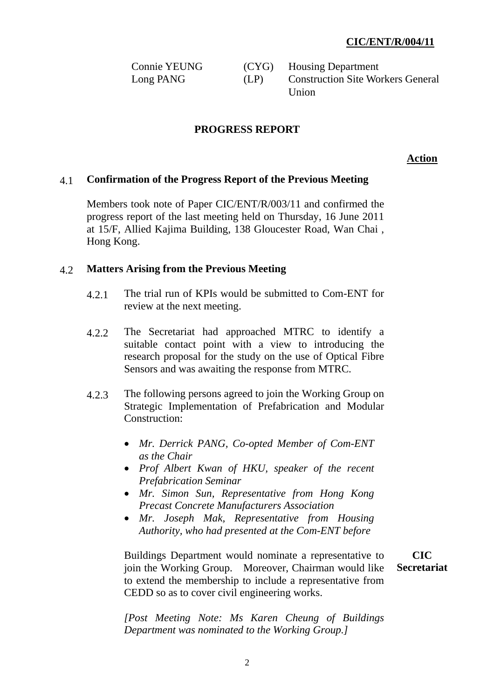| <b>Connie YEUNG</b> |      | (CYG) Housing Department                 |
|---------------------|------|------------------------------------------|
| Long PANG           | (LP) | <b>Construction Site Workers General</b> |
|                     |      | Union                                    |

### **PROGRESS REPORT**

 **Action**

#### 4.1 **Confirmation of the Progress Report of the Previous Meeting**

Members took note of Paper CIC/ENT/R/003/11 and confirmed the progress report of the last meeting held on Thursday, 16 June 2011 at 15/F, Allied Kajima Building, 138 Gloucester Road, Wan Chai , Hong Kong.

#### 4.2 **Matters Arising from the Previous Meeting**

- 4.2.1 The trial run of KPIs would be submitted to Com-ENT for review at the next meeting.
- 4.2.2 The Secretariat had approached MTRC to identify a suitable contact point with a view to introducing the research proposal for the study on the use of Optical Fibre Sensors and was awaiting the response from MTRC.
- 4.2.3 The following persons agreed to join the Working Group on Strategic Implementation of Prefabrication and Modular Construction:
	- *Mr. Derrick PANG, Co-opted Member of Com-ENT as the Chair*
	- *Prof Albert Kwan of HKU, speaker of the recent Prefabrication Seminar*
	- *Mr. Simon Sun, Representative from Hong Kong Precast Concrete Manufacturers Association*
	- *Mr. Joseph Mak, Representative from Housing Authority, who had presented at the Com-ENT before*

Buildings Department would nominate a representative to join the Working Group. Moreover, Chairman would like to extend the membership to include a representative from CEDD so as to cover civil engineering works.

**CIC Secretariat**

*[Post Meeting Note: Ms Karen Cheung of Buildings Department was nominated to the Working Group.]*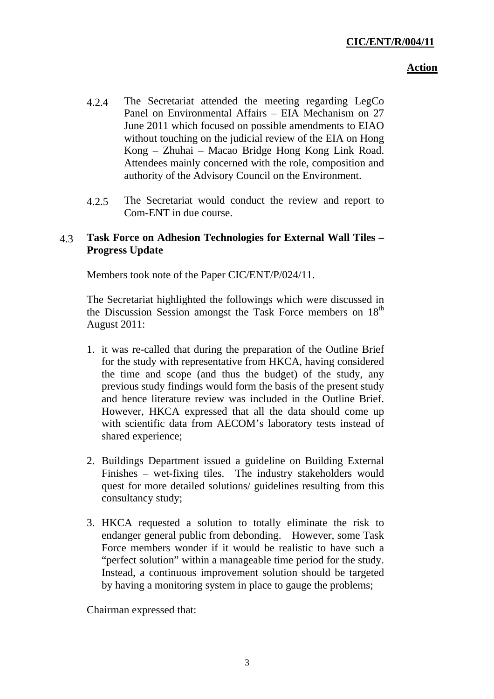### **Action**

- 4.2.4 The Secretariat attended the meeting regarding LegCo Panel on Environmental Affairs – EIA Mechanism on 27 June 2011 which focused on possible amendments to EIAO without touching on the judicial review of the EIA on Hong Kong – Zhuhai – Macao Bridge Hong Kong Link Road. Attendees mainly concerned with the role, composition and authority of the Advisory Council on the Environment.
- 4.2.5 The Secretariat would conduct the review and report to Com-ENT in due course.

## 4.3 **Task Force on Adhesion Technologies for External Wall Tiles – Progress Update**

Members took note of the Paper CIC/ENT/P/024/11.

The Secretariat highlighted the followings which were discussed in the Discussion Session amongst the Task Force members on 18<sup>th</sup> August 2011:

- 1. it was re-called that during the preparation of the Outline Brief for the study with representative from HKCA, having considered the time and scope (and thus the budget) of the study, any previous study findings would form the basis of the present study and hence literature review was included in the Outline Brief. However, HKCA expressed that all the data should come up with scientific data from AECOM's laboratory tests instead of shared experience;
- 2. Buildings Department issued a guideline on Building External Finishes – wet-fixing tiles. The industry stakeholders would quest for more detailed solutions/ guidelines resulting from this consultancy study;
- 3. HKCA requested a solution to totally eliminate the risk to endanger general public from debonding. However, some Task Force members wonder if it would be realistic to have such a "perfect solution" within a manageable time period for the study. Instead, a continuous improvement solution should be targeted by having a monitoring system in place to gauge the problems;

Chairman expressed that: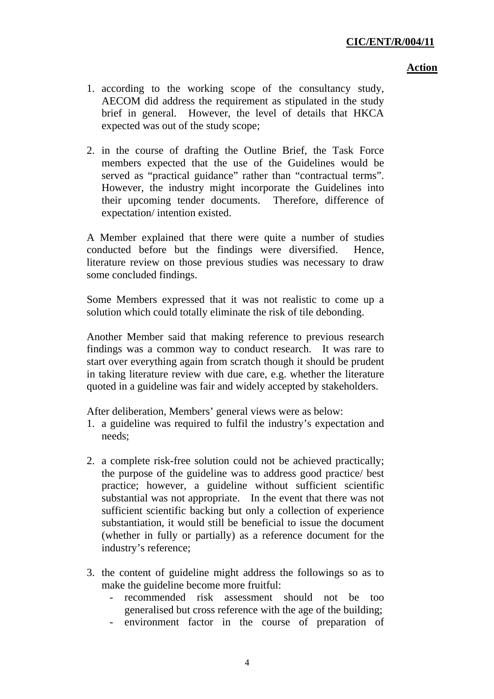#### **Action**

- 1. according to the working scope of the consultancy study, AECOM did address the requirement as stipulated in the study brief in general. However, the level of details that HKCA expected was out of the study scope;
- 2. in the course of drafting the Outline Brief, the Task Force members expected that the use of the Guidelines would be served as "practical guidance" rather than "contractual terms". However, the industry might incorporate the Guidelines into their upcoming tender documents. Therefore, difference of expectation/ intention existed.

A Member explained that there were quite a number of studies conducted before but the findings were diversified. Hence, literature review on those previous studies was necessary to draw some concluded findings.

Some Members expressed that it was not realistic to come up a solution which could totally eliminate the risk of tile debonding.

Another Member said that making reference to previous research findings was a common way to conduct research. It was rare to start over everything again from scratch though it should be prudent in taking literature review with due care, e.g. whether the literature quoted in a guideline was fair and widely accepted by stakeholders.

After deliberation, Members' general views were as below:

- 1. a guideline was required to fulfil the industry's expectation and needs;
- 2. a complete risk-free solution could not be achieved practically; the purpose of the guideline was to address good practice/ best practice; however, a guideline without sufficient scientific substantial was not appropriate. In the event that there was not sufficient scientific backing but only a collection of experience substantiation, it would still be beneficial to issue the document (whether in fully or partially) as a reference document for the industry's reference;
- 3. the content of guideline might address the followings so as to make the guideline become more fruitful:
	- recommended risk assessment should not be too generalised but cross reference with the age of the building;
	- environment factor in the course of preparation of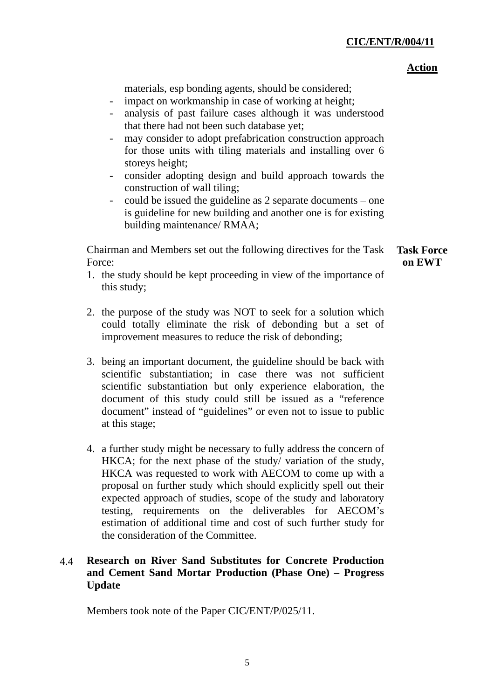#### **Action**

materials, esp bonding agents, should be considered;

- impact on workmanship in case of working at height;
- analysis of past failure cases although it was understood that there had not been such database yet;
- may consider to adopt prefabrication construction approach for those units with tiling materials and installing over 6 storeys height;
- consider adopting design and build approach towards the construction of wall tiling;
- could be issued the guideline as 2 separate documents one is guideline for new building and another one is for existing building maintenance/ RMAA;

Chairman and Members set out the following directives for the Task Force:

**Task Force on EWT** 

- 1. the study should be kept proceeding in view of the importance of this study;
- 2. the purpose of the study was NOT to seek for a solution which could totally eliminate the risk of debonding but a set of improvement measures to reduce the risk of debonding;
- 3. being an important document, the guideline should be back with scientific substantiation; in case there was not sufficient scientific substantiation but only experience elaboration, the document of this study could still be issued as a "reference document" instead of "guidelines" or even not to issue to public at this stage;
- 4. a further study might be necessary to fully address the concern of HKCA; for the next phase of the study/ variation of the study, HKCA was requested to work with AECOM to come up with a proposal on further study which should explicitly spell out their expected approach of studies, scope of the study and laboratory testing, requirements on the deliverables for AECOM's estimation of additional time and cost of such further study for the consideration of the Committee.

# 4.4 **Research on River Sand Substitutes for Concrete Production and Cement Sand Mortar Production (Phase One) – Progress Update**

Members took note of the Paper CIC/ENT/P/025/11.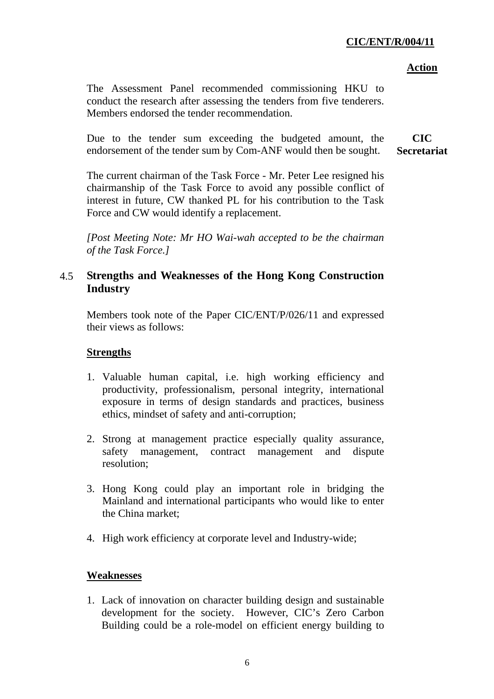### **Action**

The Assessment Panel recommended commissioning HKU to conduct the research after assessing the tenders from five tenderers. Members endorsed the tender recommendation.

Due to the tender sum exceeding the budgeted amount, the endorsement of the tender sum by Com-ANF would then be sought. **CIC Secretariat**

The current chairman of the Task Force - Mr. Peter Lee resigned his chairmanship of the Task Force to avoid any possible conflict of interest in future, CW thanked PL for his contribution to the Task Force and CW would identify a replacement.

*[Post Meeting Note: Mr HO Wai-wah accepted to be the chairman of the Task Force.]* 

# 4.5 **Strengths and Weaknesses of the Hong Kong Construction Industry**

Members took note of the Paper CIC/ENT/P/026/11 and expressed their views as follows:

# **Strengths**

- 1. Valuable human capital, i.e. high working efficiency and productivity, professionalism, personal integrity, international exposure in terms of design standards and practices, business ethics, mindset of safety and anti-corruption;
- 2. Strong at management practice especially quality assurance, safety management, contract management and dispute resolution;
- 3. Hong Kong could play an important role in bridging the Mainland and international participants who would like to enter the China market;
- 4. High work efficiency at corporate level and Industry-wide;

# **Weaknesses**

1. Lack of innovation on character building design and sustainable development for the society. However, CIC's Zero Carbon Building could be a role-model on efficient energy building to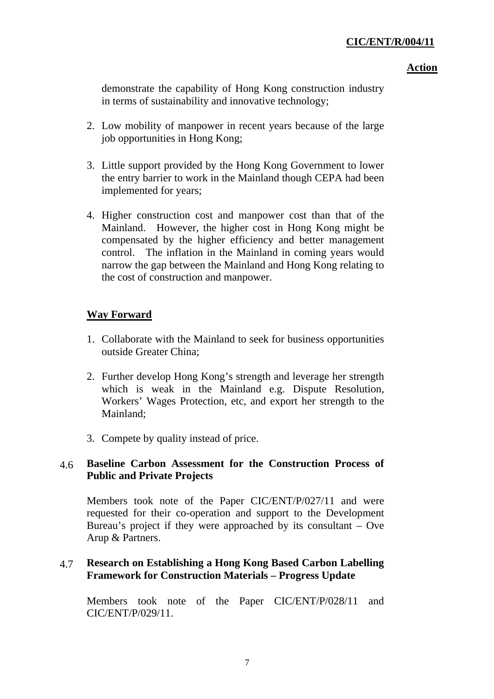#### **Action**

demonstrate the capability of Hong Kong construction industry in terms of sustainability and innovative technology;

- 2. Low mobility of manpower in recent years because of the large job opportunities in Hong Kong;
- 3. Little support provided by the Hong Kong Government to lower the entry barrier to work in the Mainland though CEPA had been implemented for years;
- 4. Higher construction cost and manpower cost than that of the Mainland. However, the higher cost in Hong Kong might be compensated by the higher efficiency and better management control. The inflation in the Mainland in coming years would narrow the gap between the Mainland and Hong Kong relating to the cost of construction and manpower.

# **Way Forward**

- 1. Collaborate with the Mainland to seek for business opportunities outside Greater China;
- 2. Further develop Hong Kong's strength and leverage her strength which is weak in the Mainland e.g. Dispute Resolution, Workers' Wages Protection, etc, and export her strength to the Mainland;
- 3. Compete by quality instead of price.

# 4.6 **Baseline Carbon Assessment for the Construction Process of Public and Private Projects**

Members took note of the Paper CIC/ENT/P/027/11 and were requested for their co-operation and support to the Development Bureau's project if they were approached by its consultant – Ove Arup & Partners.

# 4.7 **Research on Establishing a Hong Kong Based Carbon Labelling Framework for Construction Materials – Progress Update**

Members took note of the Paper CIC/ENT/P/028/11 and CIC/ENT/P/029/11.